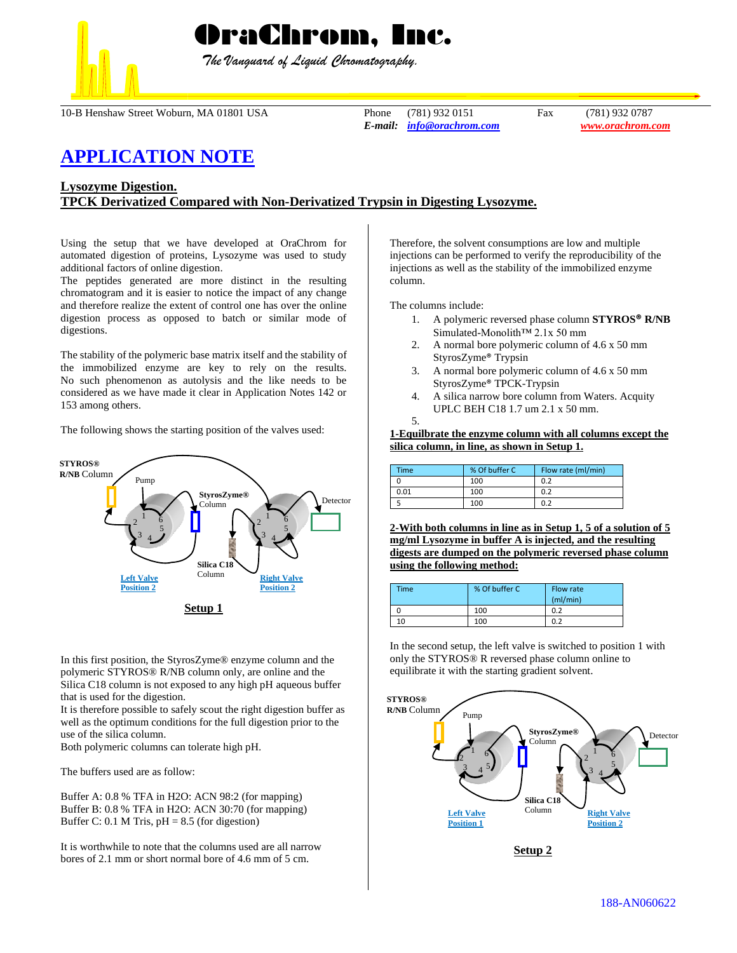

 *The Vanguard of Liquid Chromatography.*

10-B Henshaw Street Woburn, MA 01801 USA Phone (781) 932 0151 Fax (781) 932 0787

*E-mail: [info@orachrom.com](mailto:info@orachrom.com) www.orachrom.com*

# **APPLICATION NOTE**

# **Lysozyme Digestion. TPCK Derivatized Compared with Non-Derivatized Trypsin in Digesting Lysozyme.**

Using the setup that we have developed at OraChrom for automated digestion of proteins, Lysozyme was used to study additional factors of online digestion.

The peptides generated are more distinct in the resulting chromatogram and it is easier to notice the impact of any change and therefore realize the extent of control one has over the online digestion process as opposed to batch or similar mode of digestions.

The stability of the polymeric base matrix itself and the stability of the immobilized enzyme are key to rely on the results. No such phenomenon as autolysis and the like needs to be considered as we have made it clear in Application Notes 142 or 153 among others.

The following shows the starting position of the valves used:



In this first position, the StyrosZyme® enzyme column and the polymeric STYROS® R/NB column only, are online and the Silica C18 column is not exposed to any high pH aqueous buffer that is used for the digestion.

It is therefore possible to safely scout the right digestion buffer as well as the optimum conditions for the full digestion prior to the use of the silica column.

Both polymeric columns can tolerate high pH.

The buffers used are as follow:

Buffer A: 0.8 % TFA in H2O: ACN 98:2 (for mapping) Buffer B: 0.8 % TFA in H2O: ACN 30:70 (for mapping) Buffer C: 0.1 M Tris,  $pH = 8.5$  (for digestion)

It is worthwhile to note that the columns used are all narrow bores of 2.1 mm or short normal bore of 4.6 mm of 5 cm.

Therefore, the solvent consumptions are low and multiple injections can be performed to verify the reproducibility of the injections as well as the stability of the immobilized enzyme column.

The columns include:

- 1. A polymeric reversed phase column **STYROS® R/NB** Simulated-Monolith™ 2.1x 50 mm
- 2. A normal bore polymeric column of 4.6 x 50 mm StyrosZyme® Trypsin
- 3. A normal bore polymeric column of 4.6 x 50 mm StyrosZyme® TPCK-Trypsin
- 4. A silica narrow bore column from Waters. Acquity UPLC BEH C18 1.7 um 2.1 x 50 mm.

```
5.
```
**1-Equilbrate the enzyme column with all columns except the silica column, in line, as shown in Setup 1.**

| Time | % Of buffer C | Flow rate (ml/min) |  |
|------|---------------|--------------------|--|
|      | 100           | 0.2                |  |
| 0.01 | 100           | 0.2                |  |
|      | 100           | ሰ ን                |  |

**2-With both columns in line as in Setup 1, 5 of a solution of 5 mg/ml Lysozyme in buffer A is injected, and the resulting digests are dumped on the polymeric reversed phase column using the following method:**

| Time | % Of buffer C | Flow rate<br>(mI/min) |
|------|---------------|-----------------------|
|      | 100           | 0.2                   |
| 10   | 100           | 0.2                   |

In the second setup, the left valve is switched to position 1 with only the STYROS® R reversed phase column online to equilibrate it with the starting gradient solvent.

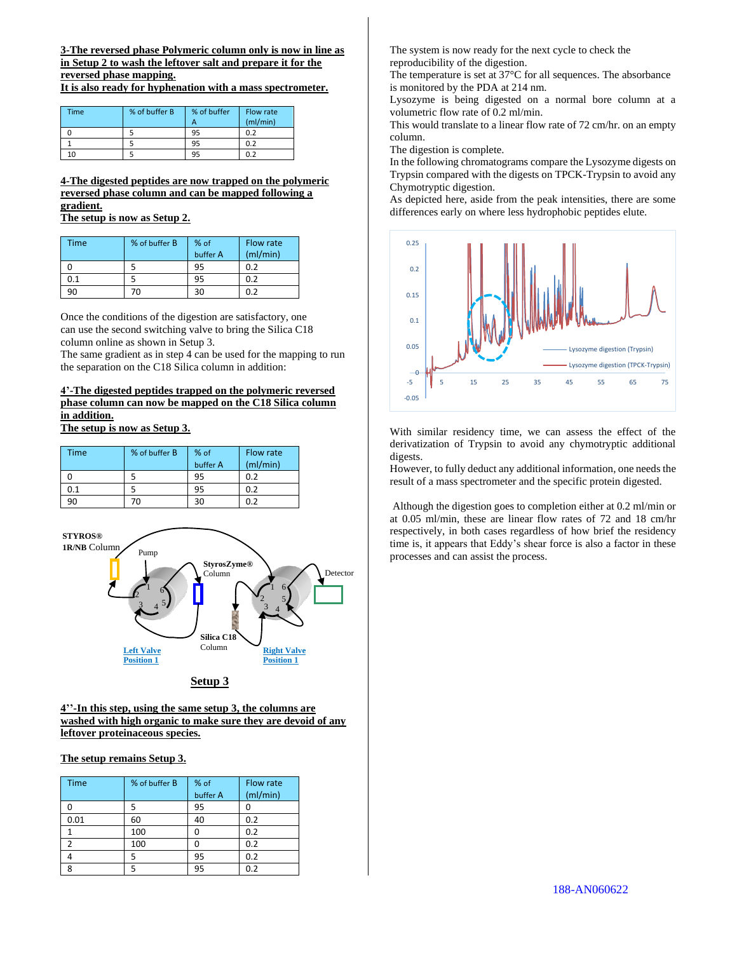**3-The reversed phase Polymeric column only is now in line as in Setup 2 to wash the leftover salt and prepare it for the reversed phase mapping.** 

**It is also ready for hyphenation with a mass spectrometer.** 

| <b>Time</b> | % of buffer B | % of buffer | Flow rate |
|-------------|---------------|-------------|-----------|
|             |               | А           | (mI/min)  |
|             |               | 95          | 0.2       |
|             |               | 95          | 0.2       |
| $\Omega$    |               | ٩ŗ          | 0.2       |

## **4-The digested peptides are now trapped on the polymeric reversed phase column and can be mapped following a gradient.**

**The setup is now as Setup 2.**

| Time | % of buffer B | % of     | Flow rate |
|------|---------------|----------|-----------|
|      |               | buffer A | (mI/min)  |
|      |               | 95       | 0.2       |
| 0.1  |               | 95       | 0.2       |
|      | 70            |          | በ ን       |

Once the conditions of the digestion are satisfactory, one can use the second switching valve to bring the Silica C18 column online as shown in Setup 3.

The same gradient as in step 4 can be used for the mapping to run the separation on the C18 Silica column in addition:

## **4'-The digested peptides trapped on the polymeric reversed phase column can now be mapped on the C18 Silica column in addition.**

**The setup is now as Setup 3.**

| <b>Time</b> | % of buffer B | % of<br>buffer A | Flow rate<br>(mI/min) |
|-------------|---------------|------------------|-----------------------|
|             |               | 95               | 0.2                   |
| 0.1         |               | 95               | 0.2                   |
| 90          | 'n            | 30               | 0.2                   |



#### **4''-In this step, using the same setup 3, the columns are washed with high organic to make sure they are devoid of any leftover proteinaceous species.**

### **The setup remains Setup 3.**

| <b>Time</b> | % of buffer B | % of     | Flow rate |
|-------------|---------------|----------|-----------|
|             |               | buffer A | (mI/min)  |
|             | 5             | 95       |           |
| 0.01        | 60            | 40       | 0.2       |
|             | 100           |          | 0.2       |
|             | 100           |          | 0.2       |
|             | 5             | 95       | 0.2       |
|             |               | 95       | 0.2       |

The system is now ready for the next cycle to check the reproducibility of the digestion.

The temperature is set at 37°C for all sequences. The absorbance is monitored by the PDA at 214 nm.

Lysozyme is being digested on a normal bore column at a volumetric flow rate of 0.2 ml/min.

This would translate to a linear flow rate of 72 cm/hr. on an empty column.

The digestion is complete.

In the following chromatograms compare the Lysozyme digests on Trypsin compared with the digests on TPCK-Trypsin to avoid any Chymotryptic digestion.

As depicted here, aside from the peak intensities, there are some differences early on where less hydrophobic peptides elute.



With similar residency time, we can assess the effect of the derivatization of Trypsin to avoid any chymotryptic additional digests.

However, to fully deduct any additional information, one needs the result of a mass spectrometer and the specific protein digested.

Although the digestion goes to completion either at 0.2 ml/min or at 0.05 ml/min, these are linear flow rates of 72 and 18 cm/hr respectively, in both cases regardless of how brief the residency time is, it appears that Eddy's shear force is also a factor in these processes and can assist the process.